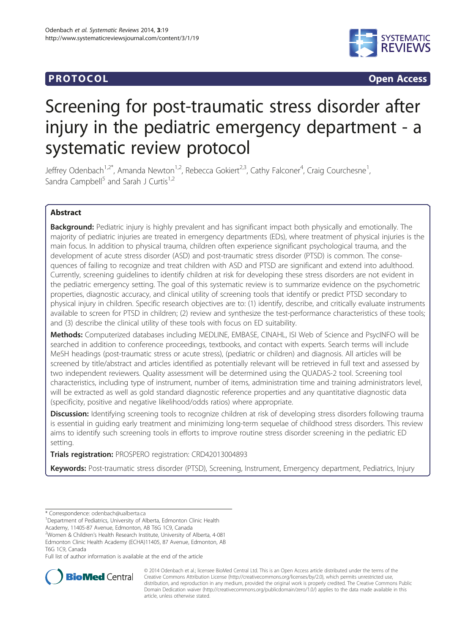## **PROTOCOL CONSUMING ACCESS CONSUMING ACCESS**



# Screening for post-traumatic stress disorder after injury in the pediatric emergency department - a systematic review protocol

Jeffrey Odenbach<sup>1,2\*</sup>, Amanda Newton<sup>1,2</sup>, Rebecca Gokiert<sup>2,3</sup>, Cathy Falconer<sup>4</sup>, Craig Courchesne<sup>1</sup> , Sandra Campbell<sup>5</sup> and Sarah J Curtis<sup>1,2</sup>

## Abstract

Background: Pediatric injury is highly prevalent and has significant impact both physically and emotionally. The majority of pediatric injuries are treated in emergency departments (EDs), where treatment of physical injuries is the main focus. In addition to physical trauma, children often experience significant psychological trauma, and the development of acute stress disorder (ASD) and post-traumatic stress disorder (PTSD) is common. The consequences of failing to recognize and treat children with ASD and PTSD are significant and extend into adulthood. Currently, screening guidelines to identify children at risk for developing these stress disorders are not evident in the pediatric emergency setting. The goal of this systematic review is to summarize evidence on the psychometric properties, diagnostic accuracy, and clinical utility of screening tools that identify or predict PTSD secondary to physical injury in children. Specific research objectives are to: (1) identify, describe, and critically evaluate instruments available to screen for PTSD in children; (2) review and synthesize the test-performance characteristics of these tools; and (3) describe the clinical utility of these tools with focus on ED suitability.

Methods: Computerized databases including MEDLINE, EMBASE, CINAHL, ISI Web of Science and PsycINFO will be searched in addition to conference proceedings, textbooks, and contact with experts. Search terms will include MeSH headings (post-traumatic stress or acute stress), (pediatric or children) and diagnosis. All articles will be screened by title/abstract and articles identified as potentially relevant will be retrieved in full text and assessed by two independent reviewers. Quality assessment will be determined using the QUADAS-2 tool. Screening tool characteristics, including type of instrument, number of items, administration time and training administrators level, will be extracted as well as gold standard diagnostic reference properties and any quantitative diagnostic data (specificity, positive and negative likelihood/odds ratios) where appropriate.

Discussion: Identifying screening tools to recognize children at risk of developing stress disorders following trauma is essential in guiding early treatment and minimizing long-term sequelae of childhood stress disorders. This review aims to identify such screening tools in efforts to improve routine stress disorder screening in the pediatric ED setting.

## Trials registration: PROSPERO registration: [CRD42013004893](http://www.crd.york.ac.uk/PROSPERO/display_record.asp?ID=CRD42013004893#.UwQNzEKwJ7E)

Keywords: Post-traumatic stress disorder (PTSD), Screening, Instrument, Emergency department, Pediatrics, Injury

\* Correspondence: [odenbach@ualberta.ca](mailto:odenbach@ualberta.ca) <sup>1</sup>

<sup>1</sup>Department of Pediatrics, University of Alberta, Edmonton Clinic Health

Academy, 11405-87 Avenue, Edmonton, AB T6G 1C9, Canada

2 Women & Children's Health Research Institute, University of Alberta, 4-081 Edmonton Clinic Health Academy (ECHA)11405, 87 Avenue, Edmonton, AB

T6G 1C9, Canada

Full list of author information is available at the end of the article



© 2014 Odenbach et al.; licensee BioMed Central Ltd. This is an Open Access article distributed under the terms of the Creative Commons Attribution License (<http://creativecommons.org/licenses/by/2.0>), which permits unrestricted use, distribution, and reproduction in any medium, provided the original work is properly credited. The Creative Commons Public Domain Dedication waiver [\(http://creativecommons.org/publicdomain/zero/1.0/\)](http://creativecommons.org/publicdomain/zero/1.0/) applies to the data made available in this article, unless otherwise stated.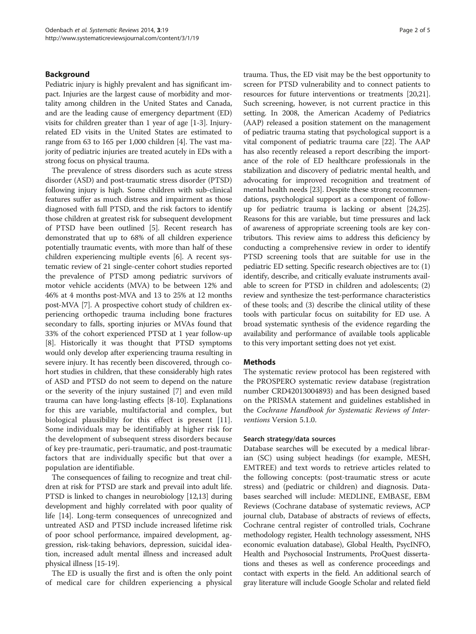## Background

Pediatric injury is highly prevalent and has significant impact. Injuries are the largest cause of morbidity and mortality among children in the United States and Canada, and are the leading cause of emergency department (ED) visits for children greater than 1 year of age [\[1](#page-3-0)-[3\]](#page-3-0). Injuryrelated ED visits in the United States are estimated to range from 63 to 165 per 1,000 children [\[4](#page-3-0)]. The vast majority of pediatric injuries are treated acutely in EDs with a strong focus on physical trauma.

The prevalence of stress disorders such as acute stress disorder (ASD) and post-traumatic stress disorder (PTSD) following injury is high. Some children with sub-clinical features suffer as much distress and impairment as those diagnosed with full PTSD, and the risk factors to identify those children at greatest risk for subsequent development of PTSD have been outlined [[5\]](#page-3-0). Recent research has demonstrated that up to 68% of all children experience potentially traumatic events, with more than half of these children experiencing multiple events [[6\]](#page-3-0). A recent systematic review of 21 single-center cohort studies reported the prevalence of PTSD among pediatric survivors of motor vehicle accidents (MVA) to be between 12% and 46% at 4 months post-MVA and 13 to 25% at 12 months post-MVA [\[7\]](#page-3-0). A prospective cohort study of children experiencing orthopedic trauma including bone fractures secondary to falls, sporting injuries or MVAs found that 33% of the cohort experienced PTSD at 1 year follow-up [[8\]](#page-3-0). Historically it was thought that PTSD symptoms would only develop after experiencing trauma resulting in severe injury. It has recently been discovered, through cohort studies in children, that these considerably high rates of ASD and PTSD do not seem to depend on the nature or the severity of the injury sustained [[7](#page-3-0)] and even mild trauma can have long-lasting effects [\[8](#page-3-0)-[10](#page-3-0)]. Explanations for this are variable, multifactorial and complex, but biological plausibility for this effect is present [\[11](#page-3-0)]. Some individuals may be identifiably at higher risk for the development of subsequent stress disorders because of key pre-traumatic, peri-traumatic, and post-traumatic factors that are individually specific but that over a population are identifiable.

The consequences of failing to recognize and treat children at risk for PTSD are stark and prevail into adult life. PTSD is linked to changes in neurobiology [[12,13\]](#page-3-0) during development and highly correlated with poor quality of life [[14](#page-3-0)]. Long-term consequences of unrecognized and untreated ASD and PTSD include increased lifetime risk of poor school performance, impaired development, aggression, risk-taking behaviors, depression, suicidal ideation, increased adult mental illness and increased adult physical illness [\[15](#page-3-0)-[19](#page-3-0)].

The ED is usually the first and is often the only point of medical care for children experiencing a physical trauma. Thus, the ED visit may be the best opportunity to screen for PTSD vulnerability and to connect patients to resources for future interventions or treatments [\[20,21](#page-3-0)]. Such screening, however, is not current practice in this setting. In 2008, the American Academy of Pediatrics (AAP) released a position statement on the management of pediatric trauma stating that psychological support is a vital component of pediatric trauma care [\[22\]](#page-3-0). The AAP has also recently released a report describing the importance of the role of ED healthcare professionals in the stabilization and discovery of pediatric mental health, and advocating for improved recognition and treatment of mental health needs [[23](#page-3-0)]. Despite these strong recommendations, psychological support as a component of followup for pediatric trauma is lacking or absent [\[24,25](#page-3-0)]. Reasons for this are variable, but time pressures and lack of awareness of appropriate screening tools are key contributors. This review aims to address this deficiency by conducting a comprehensive review in order to identify PTSD screening tools that are suitable for use in the pediatric ED setting. Specific research objectives are to: (1) identify, describe, and critically evaluate instruments available to screen for PTSD in children and adolescents; (2) review and synthesize the test-performance characteristics of these tools; and (3) describe the clinical utility of these tools with particular focus on suitability for ED use. A broad systematic synthesis of the evidence regarding the availability and performance of available tools applicable to this very important setting does not yet exist.

#### **Methods**

The systematic review protocol has been registered with the PROSPERO systematic review database (registration number CRD42013004893) and has been designed based on the PRISMA statement and guidelines established in the Cochrane Handbook for Systematic Reviews of Interventions Version 5.1.0.

### Search strategy/data sources

Database searches will be executed by a medical librarian (SC) using subject headings (for example, MESH, EMTREE) and text words to retrieve articles related to the following concepts: (post-traumatic stress or acute stress) and (pediatric or children) and diagnosis. Databases searched will include: MEDLINE, EMBASE, EBM Reviews (Cochrane database of systematic reviews, ACP journal club, Database of abstracts of reviews of effects, Cochrane central register of controlled trials, Cochrane methodology register, Health technology assessment, NHS economic evaluation database), Global Health, PsycINFO, Health and Psychosocial Instruments, ProQuest dissertations and theses as well as conference proceedings and contact with experts in the field. An additional search of gray literature will include Google Scholar and related field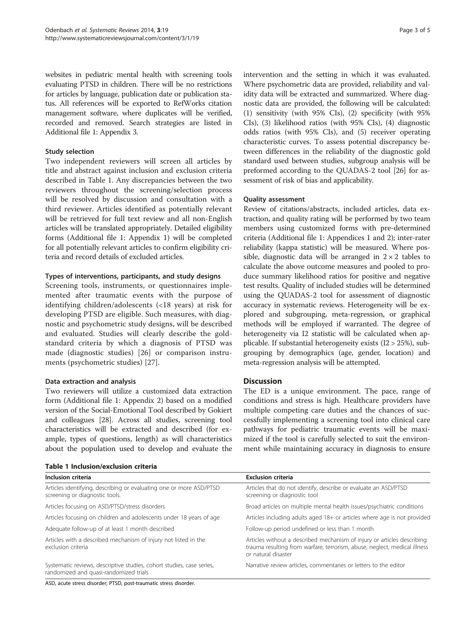websites in pediatric mental health with screening tools evaluating PTSD in children. There will be no restrictions for articles by language, publication date or publication status. All references will be exported to RefWorks citation management software, where duplicates will be verified, recorded and removed. Search strategies are listed in Additional file [1](#page-3-0): Appendix 3.

### Study selection

Two independent reviewers will screen all articles by title and abstract against inclusion and exclusion criteria described in Table 1. Any discrepancies between the two reviewers throughout the screening/selection process will be resolved by discussion and consultation with a third reviewer. Articles identified as potentially relevant will be retrieved for full text review and all non-English articles will be translated appropriately. Detailed eligibility forms (Additional file [1:](#page-3-0) Appendix 1) will be completed for all potentially relevant articles to confirm eligibility criteria and record details of excluded articles.

## Types of interventions, participants, and study designs

Screening tools, instruments, or questionnaires implemented after traumatic events with the purpose of identifying children/adolescents (<18 years) at risk for developing PTSD are eligible. Such measures, with diagnostic and psychometric study designs, will be described and evaluated. Studies will clearly describe the goldstandard criteria by which a diagnosis of PTSD was made (diagnostic studies) [[26\]](#page-4-0) or comparison instruments (psychometric studies) [\[27](#page-4-0)].

## Data extraction and analysis

Two reviewers will utilize a customized data extraction form (Additional file [1](#page-3-0): Appendix 2) based on a modified version of the Social-Emotional Tool described by Gokiert and colleagues [[28\]](#page-4-0). Across all studies, screening tool characteristics will be extracted and described (for example, types of questions, length) as will characteristics about the population used to develop and evaluate the

|  | Table 1 Inclusion/exclusion criteria |  |  |
|--|--------------------------------------|--|--|
|--|--------------------------------------|--|--|

intervention and the setting in which it was evaluated. Where psychometric data are provided, reliability and validity data will be extracted and summarized. Where diagnostic data are provided, the following will be calculated: (1) sensitivity (with 95% CIs), (2) specificity (with 95% CIs), (3) likelihood ratios (with 95% CIs), (4) diagnostic odds ratios (with 95% CIs), and (5) receiver operating characteristic curves. To assess potential discrepancy between differences in the reliability of the diagnostic gold standard used between studies, subgroup analysis will be preformed according to the QUADAS-2 tool [\[26](#page-4-0)] for assessment of risk of bias and applicability.

### Quality assessment

Review of citations/abstracts, included articles, data extraction, and quality rating will be performed by two team members using customized forms with pre-determined criteria (Additional file [1](#page-3-0): Appendices 1 and 2); inter-rater reliability (kappa statistic) will be measured. Where possible, diagnostic data will be arranged in  $2 \times 2$  tables to calculate the above outcome measures and pooled to produce summary likelihood ratios for positive and negative test results. Quality of included studies will be determined using the QUADAS-2 tool for assessment of diagnostic accuracy in systematic reviews. Heterogeneity will be explored and subgrouping, meta-regression, or graphical methods will be employed if warranted. The degree of heterogeneity via I2 statistic will be calculated when applicable. If substantial heterogeneity exists (I2 > 25%), subgrouping by demographics (age, gender, location) and meta-regression analysis will be attempted.

## Discussion

The ED is a unique environment. The pace, range of conditions and stress is high. Healthcare providers have multiple competing care duties and the chances of successfully implementing a screening tool into clinical care pathways for pediatric traumatic events will be maximized if the tool is carefully selected to suit the environment while maintaining accuracy in diagnosis to ensure

| Inclusion criteria                                                                                              | <b>Exclusion criteria</b>                                                                                                                                                   |  |
|-----------------------------------------------------------------------------------------------------------------|-----------------------------------------------------------------------------------------------------------------------------------------------------------------------------|--|
| Articles identifying, describing or evaluating one or more ASD/PTSD<br>screening or diagnostic tools.           | Articles that do not identify, describe or evaluate an ASD/PTSD<br>screening or diagnostic tool                                                                             |  |
| Articles focusing on ASD/PTSD/stress disorders                                                                  | Broad articles on multiple mental health issues/psychiatric conditions                                                                                                      |  |
| Articles focusing on children and adolescents under 18 years of age                                             | Articles including adults aged 18+ or articles where age is not provided                                                                                                    |  |
| Adequate follow-up of at least 1 month described                                                                | Follow-up period undefined or less than 1 month                                                                                                                             |  |
| Articles with a described mechanism of injury not listed in the<br>exclusion criteria                           | Articles without a described mechanism of injury or articles describing<br>trauma resulting from warfare, terrorism, abuse, neglect, medical illness<br>or natural disaster |  |
| Systematic reviews, descriptive studies, cohort studies, case series,<br>randomized and quasi-randomized trials | Narrative review articles, commentaries or letters to the editor                                                                                                            |  |

ASD, acute stress disorder; PTSD, post-traumatic stress disorder.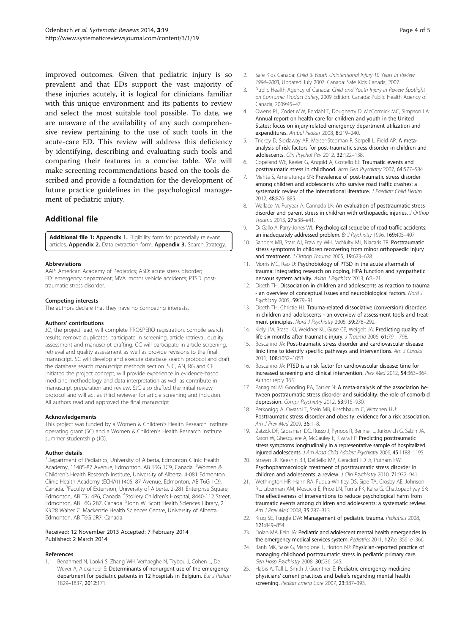<span id="page-3-0"></span>improved outcomes. Given that pediatric injury is so prevalent and that EDs support the vast majority of these injuries acutely, it is logical for clinicians familiar with this unique environment and its patients to review and select the most suitable tool possible. To date, we are unaware of the availability of any such comprehensive review pertaining to the use of such tools in the acute-care ED. This review will address this deficiency by identifying, describing and evaluating such tools and comparing their features in a concise table. We will make screening recommendations based on the tools described and provide a foundation for the development of future practice guidelines in the psychological management of pediatric injury.

## Additional file

[Additional file 1:](http://www.biomedcentral.com/content/supplementary/2046-4053-3-19-S1.doc) Appendix 1. Eligibility form for potentially relevant articles. Appendix 2. Data extraction form. Appendix 3. Search Strategy.

#### Abbreviations

AAP: American Academy of Pediatrics; ASD: acute stress disorder; ED: emergency department; MVA: motor vehicle accidents; PTSD: posttraumatic stress disorder.

#### Competing interests

The authors declare that they have no competing interests.

#### Authors' contributions

JO, the project lead, will complete PROSPERO registration, compile search results, remove duplicates, participate in screening, article retrieval, quality assessment and manuscript drafting. CC will participate in article screening, retrieval and quality assessment as well as provide revisions to the final manuscript. SC will develop and execute database search protocol and draft the database search manuscript methods section. SJC, AN, RG and CF initiated the project concept, will provide experience in evidence-based medicine methodology and data interpretation as well as contribute in manuscript preparation and review. SJC also drafted the initial review protocol and will act as third reviewer for article screening and inclusion. All authors read and approved the final manuscript.

#### Acknowledgements

This project was funded by a Women & Children's Health Research Institute operating grant (SC) and a Women & Children's Health Research Institute summer studentship (JO).

#### Author details

<sup>1</sup>Department of Pediatrics, University of Alberta, Edmonton Clinic Health Academy, 11405-87 Avenue, Edmonton, AB T6G 1C9, Canada. <sup>2</sup>Women & Children's Health Research Institute, University of Alberta, 4-081 Edmonton Clinic Health Academy (ECHA)11405, 87 Avenue, Edmonton, AB T6G 1C9, Canada. <sup>3</sup> Faculty of Extension, University of Alberta, 2-281 Enterprise Square, Edmonton, AB T5J 4P6, Canada. <sup>4</sup>Stollery Children's Hospital, 8440-112 Street, Edmonton, AB T6G 2B7, Canada. <sup>5</sup>John W. Scott Health Sciences Library, 2 K3.28 Walter C. Mackenzie Health Sciences Centre, University of Alberta, Edmonton, AB T6G 2R7, Canada.

#### Received: 12 November 2013 Accepted: 7 February 2014 Published: 2 March 2014

#### References

Benahmed N, Laokri S, Zhang WH, Verhaeghe N, Trybou J, Cohen L, De Wever A, Alexander S: Determinants of nonurgent use of the emergency department for pediatric patients in 12 hospitals in Belgium. Eur J Pediatr 1829–1837, 2012:171.

- Safe Kids Canada: Child & Youth Unintentional Injury 10 Years in Review 1994–2003, Updated July 2007. Canada: Safe Kids Canada; 2007.
- 3. Public Health Agency of Canada: Child and Youth Injury in Review Spotlight on Consumer Product Safety, 2009 Edition. Canada: Public Health Agency of Canada; 2009:45–47.
- 4. Owens PL, Zodet MW, Berdahl T, Dougherty D, McCormick MC, Simpson LA: Annual report on health care for children and youth in the United States: focus on injury-related emergency department utilization and expenditures. Ambul Pediatr 2008, 8:219–240.
- 5. Trickey D, Siddaway AP, Meiser-Stedman R, Serpell L, Field AP: A metaanalysis of risk factors for post-traumatic stress disorder in children and adolescents. Clin Psychol Rev 2012, 32:122–138.
- 6. Copeland WE, Keeler G, Angold A, Costello EJ: Traumatic events and posttraumatic stress in childhood. Arch Gen Psychiatry 2007, 64:577-584.
- Mehta S, Ameratunga SN: Prevalence of post-traumatic stress disorder among children and adolescents who survive road traffic crashes: a systematic review of the international literature. J Paediatr Child Health 2012, 48:876–885.
- 8. Wallace M, Puryear A, Cannada LK: An evaluation of posttraumatic stress disorder and parent stress in children with orthopaedic injuries. J Orthop Trauma 2013, 27:e38–e41.
- 9. Di Gallo A, Parry-Jones WL: Psychological sequelae of road traffic accidents: an inadequately addressed problem. Br J Psychiatry 1996, 169:405-407.
- 10. Sanders MB, Starr AJ, Frawley WH, McNulty MJ, Niacaris TR: Posttraumatic stress symptoms in children recovering from minor orthopaedic injury and treatment. J Orthop Trauma 2005, 19:623–628.
- 11. Morris MC, Rao U: Psychobiology of PTSD in the acute aftermath of trauma: integrating research on coping, HPA function and sympathetic nervous system activity. Asian J Psychiatr 2013, 6:3-21.
- 12. Diseth TH: Dissociation in children and adolescents as reaction to trauma - an overview of conceptual issues and neurobiological factors. Nord J Psychiatry 2005, 59:79–91.
- 13. Diseth TH, Christie HJ: Trauma-related dissociative (conversion) disorders in children and adolescents - an overview of assessment tools and treatment principles. Nord J Psychiatry 2005, 59:278-292.
- 14. Kiely JM, Brasel KJ, Weidner KL, Guse CE, Weigelt JA: Predicting quality of life six months after traumatic injury. J Trauma 2006, 61:791-798.
- 15. Boscarino JA: Post-traumatic stress disorder and cardiovascular disease link: time to identify specific pathways and interventions. Am J Cardiol 2011, 108:1052–1053.
- 16. Boscarino JA: PTSD is a risk factor for cardiovascular disease: time for increased screening and clinical intervention. Prev Med 2012, 54:363–364. Author reply 365.
- 17. Panagioti M, Gooding PA, Tarrier N: A meta-analysis of the association between posttraumatic stress disorder and suicidality: the role of comorbid depression. Compr Psychiatry 2012, 53:915–930.
- 18. Perkonigg A, Owashi T, Stein MB, Kirschbaum C, Wittchen HU: Posttraumatic stress disorder and obesity: evidence for a risk association. Am J Prev Med 2009, 36:1-8.
- 19. Zatzick DF, Grossman DC, Russo J, Pynoos R, Berliner L, Jurkovich G, Sabin JA, Katon W, Ghesquiere A, McCauley E, Rivara FP: Predicting posttraumatic stress symptoms longitudinally in a representative sample of hospitalized injured adolescents. J Am Acad Child Adolesc Psychiatry 2006, 45:1188-1195.
- 20. Strawn JR, Keeshin BR, DelBello MP, Geracioti TD Jr, Putnam FW: Psychopharmacologic treatment of posttraumatic stress disorder in children and adolescents: a review. J Clin Psychiatry 2010, 71:932-941.
- 21. Wethington HR, Hahn RA, Fuqua-Whitley DS, Sipe TA, Crosby AE, Johnson RL, Liberman AM, Moscicki E, Price LN, Tuma FK, Kalra G, Chattopadhyay SK: The effectiveness of interventions to reduce psychological harm from traumatic events among children and adolescents: a systematic review. Am J Prev Med 2008, 35:287–313.
- 22. Krug SE, Tuggle DW: Management of pediatric trauma. Pediatrics 2008, 121:849–854.
- 23. Dolan MA, Fein JA: Pediatric and adolescent mental health emergencies in the emergency medical services system. Pediatrics 2011, 127:e1356-e1366.
- 24. Banh MK, Saxe G, Mangione T, Horton NJ: Physician-reported practice of managing childhood posttraumatic stress in pediatric primary care. Gen Hosp Psychiatry 2008, 30:536–545.
- 25. Habis A, Tall L, Smith J, Guenther E: Pediatric emergency medicine physicians' current practices and beliefs regarding mental health screening. Pediatr Emerg Care 2007, 23:387-393.